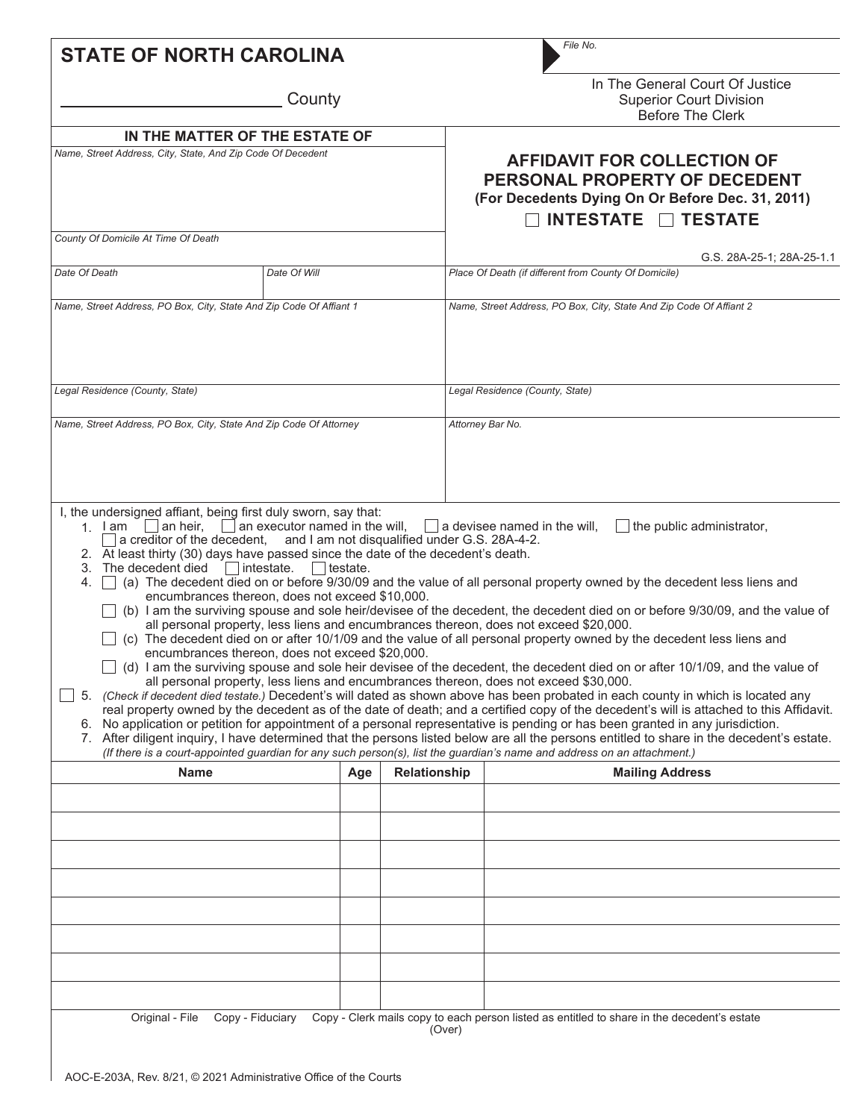| <b>STATE OF NORTH CAROLINA</b>                                                                                                                                                                                                                                                                             |                                                                                                                                                         |              | File No.                                                                                                                                                                                                                                                                                                                                                                                                                                                                                                                                                                                                                                                                                                                                                                                                                                                                                                                                                                                                                                                                                                                                                                                                                                                                                                                                                                                                                                                                   |
|------------------------------------------------------------------------------------------------------------------------------------------------------------------------------------------------------------------------------------------------------------------------------------------------------------|---------------------------------------------------------------------------------------------------------------------------------------------------------|--------------|----------------------------------------------------------------------------------------------------------------------------------------------------------------------------------------------------------------------------------------------------------------------------------------------------------------------------------------------------------------------------------------------------------------------------------------------------------------------------------------------------------------------------------------------------------------------------------------------------------------------------------------------------------------------------------------------------------------------------------------------------------------------------------------------------------------------------------------------------------------------------------------------------------------------------------------------------------------------------------------------------------------------------------------------------------------------------------------------------------------------------------------------------------------------------------------------------------------------------------------------------------------------------------------------------------------------------------------------------------------------------------------------------------------------------------------------------------------------------|
|                                                                                                                                                                                                                                                                                                            | County                                                                                                                                                  |              | In The General Court Of Justice<br><b>Superior Court Division</b><br><b>Before The Clerk</b>                                                                                                                                                                                                                                                                                                                                                                                                                                                                                                                                                                                                                                                                                                                                                                                                                                                                                                                                                                                                                                                                                                                                                                                                                                                                                                                                                                               |
| IN THE MATTER OF THE ESTATE OF                                                                                                                                                                                                                                                                             |                                                                                                                                                         |              |                                                                                                                                                                                                                                                                                                                                                                                                                                                                                                                                                                                                                                                                                                                                                                                                                                                                                                                                                                                                                                                                                                                                                                                                                                                                                                                                                                                                                                                                            |
| Name, Street Address, City, State, And Zip Code Of Decedent                                                                                                                                                                                                                                                |                                                                                                                                                         |              | <b>AFFIDAVIT FOR COLLECTION OF</b><br>PERSONAL PROPERTY OF DECEDENT<br>(For Decedents Dying On Or Before Dec. 31, 2011)<br>INTESTATE TESTATE                                                                                                                                                                                                                                                                                                                                                                                                                                                                                                                                                                                                                                                                                                                                                                                                                                                                                                                                                                                                                                                                                                                                                                                                                                                                                                                               |
| County Of Domicile At Time Of Death                                                                                                                                                                                                                                                                        |                                                                                                                                                         |              |                                                                                                                                                                                                                                                                                                                                                                                                                                                                                                                                                                                                                                                                                                                                                                                                                                                                                                                                                                                                                                                                                                                                                                                                                                                                                                                                                                                                                                                                            |
|                                                                                                                                                                                                                                                                                                            |                                                                                                                                                         |              | G.S. 28A-25-1; 28A-25-1.1                                                                                                                                                                                                                                                                                                                                                                                                                                                                                                                                                                                                                                                                                                                                                                                                                                                                                                                                                                                                                                                                                                                                                                                                                                                                                                                                                                                                                                                  |
| Date Of Death                                                                                                                                                                                                                                                                                              | Date Of Will                                                                                                                                            |              | Place Of Death (if different from County Of Domicile)                                                                                                                                                                                                                                                                                                                                                                                                                                                                                                                                                                                                                                                                                                                                                                                                                                                                                                                                                                                                                                                                                                                                                                                                                                                                                                                                                                                                                      |
| Name, Street Address, PO Box, City, State And Zip Code Of Affiant 1                                                                                                                                                                                                                                        |                                                                                                                                                         |              | Name, Street Address, PO Box, City, State And Zip Code Of Affiant 2                                                                                                                                                                                                                                                                                                                                                                                                                                                                                                                                                                                                                                                                                                                                                                                                                                                                                                                                                                                                                                                                                                                                                                                                                                                                                                                                                                                                        |
|                                                                                                                                                                                                                                                                                                            |                                                                                                                                                         |              |                                                                                                                                                                                                                                                                                                                                                                                                                                                                                                                                                                                                                                                                                                                                                                                                                                                                                                                                                                                                                                                                                                                                                                                                                                                                                                                                                                                                                                                                            |
| Legal Residence (County, State)                                                                                                                                                                                                                                                                            |                                                                                                                                                         |              | Legal Residence (County, State)                                                                                                                                                                                                                                                                                                                                                                                                                                                                                                                                                                                                                                                                                                                                                                                                                                                                                                                                                                                                                                                                                                                                                                                                                                                                                                                                                                                                                                            |
| Name, Street Address, PO Box, City, State And Zip Code Of Attorney                                                                                                                                                                                                                                         |                                                                                                                                                         |              | Attorney Bar No.                                                                                                                                                                                                                                                                                                                                                                                                                                                                                                                                                                                                                                                                                                                                                                                                                                                                                                                                                                                                                                                                                                                                                                                                                                                                                                                                                                                                                                                           |
| I, the undersigned affiant, being first duly sworn, say that:<br>1. I am $\Box$ an heir,<br>$\Box$ a creditor of the decedent, and I am not disqualified under G.S. 28A-4-2.<br>2. At least thirty (30) days have passed since the date of the decedent's death.<br>3. The decedent died lintestate.<br>4. | $\Box$ an executor named in the will,<br>testate.<br>encumbrances thereon, does not exceed \$10,000.<br>encumbrances thereon, does not exceed \$20,000. |              | the public administrator,<br>$\vert$ a devisee named in the will,<br>(a) The decedent died on or before 9/30/09 and the value of all personal property owned by the decedent less liens and<br>(b) I am the surviving spouse and sole heir/devisee of the decedent, the decedent died on or before 9/30/09, and the value of<br>all personal property, less liens and encumbrances thereon, does not exceed \$20,000.<br>$\Box$ (c) The decedent died on or after 10/1/09 and the value of all personal property owned by the decedent less liens and<br>(d) I am the surviving spouse and sole heir devisee of the decedent, the decedent died on or after 10/1/09, and the value of<br>all personal property, less liens and encumbrances thereon, does not exceed \$30,000.<br>5. (Check if decedent died testate.) Decedent's will dated as shown above has been probated in each county in which is located any<br>real property owned by the decedent as of the date of death; and a certified copy of the decedent's will is attached to this Affidavit.<br>6. No application or petition for appointment of a personal representative is pending or has been granted in any jurisdiction.<br>7. After diligent inquiry, I have determined that the persons listed below are all the persons entitled to share in the decedent's estate.<br>(If there is a court-appointed guardian for any such person(s), list the guardian's name and address on an attachment.) |
| <b>Name</b>                                                                                                                                                                                                                                                                                                | Age                                                                                                                                                     | Relationship | <b>Mailing Address</b>                                                                                                                                                                                                                                                                                                                                                                                                                                                                                                                                                                                                                                                                                                                                                                                                                                                                                                                                                                                                                                                                                                                                                                                                                                                                                                                                                                                                                                                     |
|                                                                                                                                                                                                                                                                                                            |                                                                                                                                                         |              |                                                                                                                                                                                                                                                                                                                                                                                                                                                                                                                                                                                                                                                                                                                                                                                                                                                                                                                                                                                                                                                                                                                                                                                                                                                                                                                                                                                                                                                                            |
|                                                                                                                                                                                                                                                                                                            |                                                                                                                                                         |              |                                                                                                                                                                                                                                                                                                                                                                                                                                                                                                                                                                                                                                                                                                                                                                                                                                                                                                                                                                                                                                                                                                                                                                                                                                                                                                                                                                                                                                                                            |
|                                                                                                                                                                                                                                                                                                            |                                                                                                                                                         |              |                                                                                                                                                                                                                                                                                                                                                                                                                                                                                                                                                                                                                                                                                                                                                                                                                                                                                                                                                                                                                                                                                                                                                                                                                                                                                                                                                                                                                                                                            |
|                                                                                                                                                                                                                                                                                                            |                                                                                                                                                         |              |                                                                                                                                                                                                                                                                                                                                                                                                                                                                                                                                                                                                                                                                                                                                                                                                                                                                                                                                                                                                                                                                                                                                                                                                                                                                                                                                                                                                                                                                            |
|                                                                                                                                                                                                                                                                                                            |                                                                                                                                                         |              |                                                                                                                                                                                                                                                                                                                                                                                                                                                                                                                                                                                                                                                                                                                                                                                                                                                                                                                                                                                                                                                                                                                                                                                                                                                                                                                                                                                                                                                                            |
|                                                                                                                                                                                                                                                                                                            |                                                                                                                                                         |              |                                                                                                                                                                                                                                                                                                                                                                                                                                                                                                                                                                                                                                                                                                                                                                                                                                                                                                                                                                                                                                                                                                                                                                                                                                                                                                                                                                                                                                                                            |
|                                                                                                                                                                                                                                                                                                            |                                                                                                                                                         |              |                                                                                                                                                                                                                                                                                                                                                                                                                                                                                                                                                                                                                                                                                                                                                                                                                                                                                                                                                                                                                                                                                                                                                                                                                                                                                                                                                                                                                                                                            |
|                                                                                                                                                                                                                                                                                                            |                                                                                                                                                         |              |                                                                                                                                                                                                                                                                                                                                                                                                                                                                                                                                                                                                                                                                                                                                                                                                                                                                                                                                                                                                                                                                                                                                                                                                                                                                                                                                                                                                                                                                            |
|                                                                                                                                                                                                                                                                                                            |                                                                                                                                                         |              |                                                                                                                                                                                                                                                                                                                                                                                                                                                                                                                                                                                                                                                                                                                                                                                                                                                                                                                                                                                                                                                                                                                                                                                                                                                                                                                                                                                                                                                                            |
| Original - File<br>Copy - Fiduciary                                                                                                                                                                                                                                                                        |                                                                                                                                                         |              | Copy - Clerk mails copy to each person listed as entitled to share in the decedent's estate                                                                                                                                                                                                                                                                                                                                                                                                                                                                                                                                                                                                                                                                                                                                                                                                                                                                                                                                                                                                                                                                                                                                                                                                                                                                                                                                                                                |
|                                                                                                                                                                                                                                                                                                            |                                                                                                                                                         | (Over)       |                                                                                                                                                                                                                                                                                                                                                                                                                                                                                                                                                                                                                                                                                                                                                                                                                                                                                                                                                                                                                                                                                                                                                                                                                                                                                                                                                                                                                                                                            |